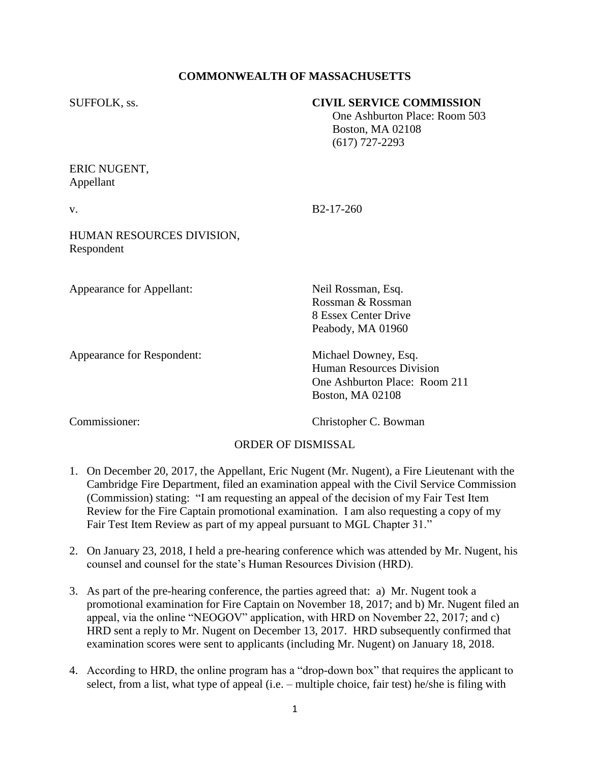## **COMMONWEALTH OF MASSACHUSETTS**

#### SUFFOLK, ss. **CIVIL SERVICE COMMISSION**

 One Ashburton Place: Room 503 Boston, MA 02108 (617) 727-2293

## ERIC NUGENT, Appellant

v. B<sub>2-17-260</sub>

HUMAN RESOURCES DIVISION, Respondent

Appearance for Appellant: Neil Rossman, Esq.

Appearance for Respondent: Michael Downey, Esq.

Rossman & Rossman 8 Essex Center Drive Peabody, MA 01960

Human Resources Division One Ashburton Place: Room 211 Boston, MA 02108

Commissioner: Christopher C. Bowman

# ORDER OF DISMISSAL

- 1. On December 20, 2017, the Appellant, Eric Nugent (Mr. Nugent), a Fire Lieutenant with the Cambridge Fire Department, filed an examination appeal with the Civil Service Commission (Commission) stating: "I am requesting an appeal of the decision of my Fair Test Item Review for the Fire Captain promotional examination. I am also requesting a copy of my Fair Test Item Review as part of my appeal pursuant to MGL Chapter 31."
- 2. On January 23, 2018, I held a pre-hearing conference which was attended by Mr. Nugent, his counsel and counsel for the state's Human Resources Division (HRD).
- 3. As part of the pre-hearing conference, the parties agreed that: a) Mr. Nugent took a promotional examination for Fire Captain on November 18, 2017; and b) Mr. Nugent filed an appeal, via the online "NEOGOV" application, with HRD on November 22, 2017; and c) HRD sent a reply to Mr. Nugent on December 13, 2017. HRD subsequently confirmed that examination scores were sent to applicants (including Mr. Nugent) on January 18, 2018.
- 4. According to HRD, the online program has a "drop-down box" that requires the applicant to select, from a list, what type of appeal (i.e. – multiple choice, fair test) he/she is filing with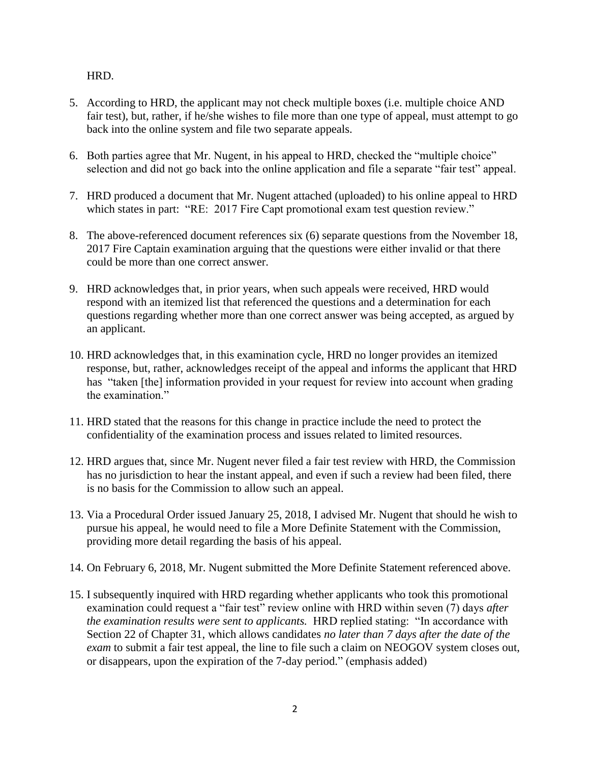HRD.

- 5. According to HRD, the applicant may not check multiple boxes (i.e. multiple choice AND fair test), but, rather, if he/she wishes to file more than one type of appeal, must attempt to go back into the online system and file two separate appeals.
- 6. Both parties agree that Mr. Nugent, in his appeal to HRD, checked the "multiple choice" selection and did not go back into the online application and file a separate "fair test" appeal.
- 7. HRD produced a document that Mr. Nugent attached (uploaded) to his online appeal to HRD which states in part: "RE: 2017 Fire Capt promotional exam test question review."
- 8. The above-referenced document references six (6) separate questions from the November 18, 2017 Fire Captain examination arguing that the questions were either invalid or that there could be more than one correct answer.
- 9. HRD acknowledges that, in prior years, when such appeals were received, HRD would respond with an itemized list that referenced the questions and a determination for each questions regarding whether more than one correct answer was being accepted, as argued by an applicant.
- 10. HRD acknowledges that, in this examination cycle, HRD no longer provides an itemized response, but, rather, acknowledges receipt of the appeal and informs the applicant that HRD has "taken [the] information provided in your request for review into account when grading the examination"
- 11. HRD stated that the reasons for this change in practice include the need to protect the confidentiality of the examination process and issues related to limited resources.
- 12. HRD argues that, since Mr. Nugent never filed a fair test review with HRD, the Commission has no jurisdiction to hear the instant appeal, and even if such a review had been filed, there is no basis for the Commission to allow such an appeal.
- 13. Via a Procedural Order issued January 25, 2018, I advised Mr. Nugent that should he wish to pursue his appeal, he would need to file a More Definite Statement with the Commission, providing more detail regarding the basis of his appeal.
- 14. On February 6, 2018, Mr. Nugent submitted the More Definite Statement referenced above.
- 15. I subsequently inquired with HRD regarding whether applicants who took this promotional examination could request a "fair test" review online with HRD within seven (7) days *after the examination results were sent to applicants.* HRD replied stating: "In accordance with Section 22 of Chapter 31, which allows candidates *no later than 7 days after the date of the exam* to submit a fair test appeal, the line to file such a claim on NEOGOV system closes out, or disappears, upon the expiration of the 7-day period." (emphasis added)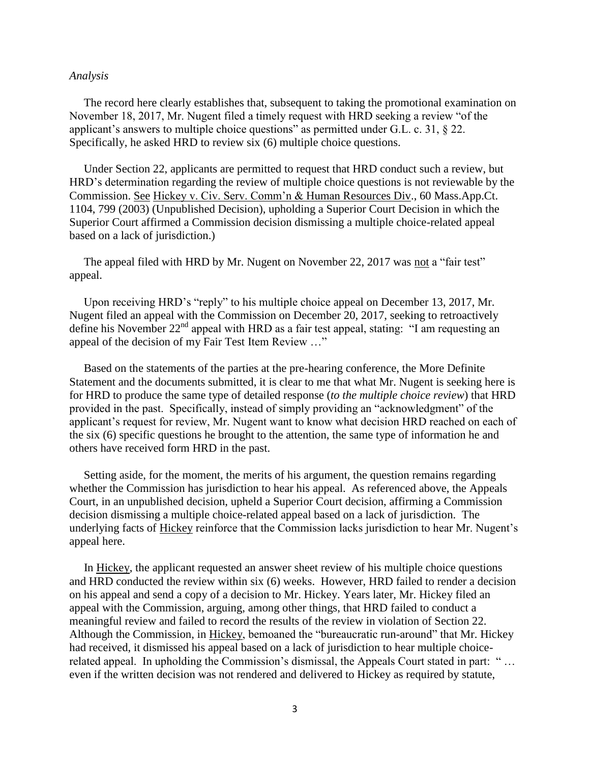#### *Analysis*

 The record here clearly establishes that, subsequent to taking the promotional examination on November 18, 2017, Mr. Nugent filed a timely request with HRD seeking a review "of the applicant's answers to multiple choice questions" as permitted under G.L. c. 31, § 22. Specifically, he asked HRD to review six (6) multiple choice questions.

 Under Section 22, applicants are permitted to request that HRD conduct such a review, but HRD's determination regarding the review of multiple choice questions is not reviewable by the Commission. See Hickey v. Civ. Serv. Comm'n & Human Resources Div., 60 Mass.App.Ct. 1104, 799 (2003) (Unpublished Decision), upholding a Superior Court Decision in which the Superior Court affirmed a Commission decision dismissing a multiple choice-related appeal based on a lack of jurisdiction.)

 The appeal filed with HRD by Mr. Nugent on November 22, 2017 was not a "fair test" appeal.

 Upon receiving HRD's "reply" to his multiple choice appeal on December 13, 2017, Mr. Nugent filed an appeal with the Commission on December 20, 2017, seeking to retroactively define his November 22<sup>nd</sup> appeal with HRD as a fair test appeal, stating: "I am requesting an appeal of the decision of my Fair Test Item Review …"

 Based on the statements of the parties at the pre-hearing conference, the More Definite Statement and the documents submitted, it is clear to me that what Mr. Nugent is seeking here is for HRD to produce the same type of detailed response (*to the multiple choice review*) that HRD provided in the past. Specifically, instead of simply providing an "acknowledgment" of the applicant's request for review, Mr. Nugent want to know what decision HRD reached on each of the six (6) specific questions he brought to the attention, the same type of information he and others have received form HRD in the past.

 Setting aside, for the moment, the merits of his argument, the question remains regarding whether the Commission has jurisdiction to hear his appeal. As referenced above, the Appeals Court, in an unpublished decision, upheld a Superior Court decision, affirming a Commission decision dismissing a multiple choice-related appeal based on a lack of jurisdiction. The underlying facts of Hickey reinforce that the Commission lacks jurisdiction to hear Mr. Nugent's appeal here.

 In Hickey, the applicant requested an answer sheet review of his multiple choice questions and HRD conducted the review within six (6) weeks. However, HRD failed to render a decision on his appeal and send a copy of a decision to Mr. Hickey. Years later, Mr. Hickey filed an appeal with the Commission, arguing, among other things, that HRD failed to conduct a meaningful review and failed to record the results of the review in violation of Section 22. Although the Commission, in Hickey, bemoaned the "bureaucratic run-around" that Mr. Hickey had received, it dismissed his appeal based on a lack of jurisdiction to hear multiple choicerelated appeal. In upholding the Commission's dismissal, the Appeals Court stated in part: " … even if the written decision was not rendered and delivered to Hickey as required by statute,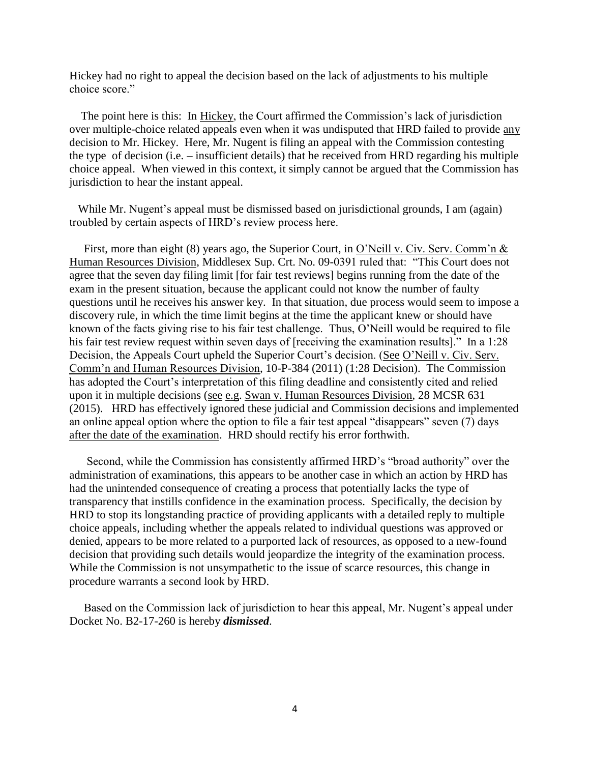Hickey had no right to appeal the decision based on the lack of adjustments to his multiple choice score."

 The point here is this: In Hickey, the Court affirmed the Commission's lack of jurisdiction over multiple-choice related appeals even when it was undisputed that HRD failed to provide any decision to Mr. Hickey. Here, Mr. Nugent is filing an appeal with the Commission contesting the type of decision (i.e. – insufficient details) that he received from HRD regarding his multiple choice appeal. When viewed in this context, it simply cannot be argued that the Commission has jurisdiction to hear the instant appeal.

 While Mr. Nugent's appeal must be dismissed based on jurisdictional grounds, I am (again) troubled by certain aspects of HRD's review process here.

 First, more than eight (8) years ago, the Superior Court, in O'Neill v. Civ. Serv. Comm'n & Human Resources Division, Middlesex Sup. Crt. No. 09-0391 ruled that: "This Court does not agree that the seven day filing limit [for fair test reviews] begins running from the date of the exam in the present situation, because the applicant could not know the number of faulty questions until he receives his answer key. In that situation, due process would seem to impose a discovery rule, in which the time limit begins at the time the applicant knew or should have known of the facts giving rise to his fair test challenge. Thus, O'Neill would be required to file his fair test review request within seven days of [receiving the examination results]." In a 1:28 Decision, the Appeals Court upheld the Superior Court's decision. (See O'Neill v. Civ. Serv. Comm'n and Human Resources Division, 10-P-384 (2011) (1:28 Decision). The Commission has adopted the Court's interpretation of this filing deadline and consistently cited and relied upon it in multiple decisions (see e.g. Swan v. Human Resources Division, 28 MCSR 631 (2015). HRD has effectively ignored these judicial and Commission decisions and implemented an online appeal option where the option to file a fair test appeal "disappears" seven (7) days after the date of the examination. HRD should rectify his error forthwith.

 Second, while the Commission has consistently affirmed HRD's "broad authority" over the administration of examinations, this appears to be another case in which an action by HRD has had the unintended consequence of creating a process that potentially lacks the type of transparency that instills confidence in the examination process. Specifically, the decision by HRD to stop its longstanding practice of providing applicants with a detailed reply to multiple choice appeals, including whether the appeals related to individual questions was approved or denied, appears to be more related to a purported lack of resources, as opposed to a new-found decision that providing such details would jeopardize the integrity of the examination process. While the Commission is not unsympathetic to the issue of scarce resources, this change in procedure warrants a second look by HRD.

 Based on the Commission lack of jurisdiction to hear this appeal, Mr. Nugent's appeal under Docket No. B2-17-260 is hereby *dismissed*.